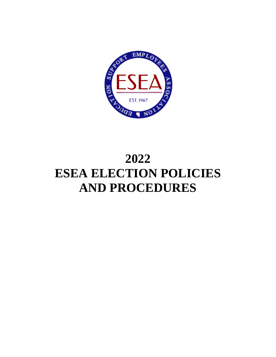

# **2022 ESEA ELECTION POLICIES AND PROCEDURES**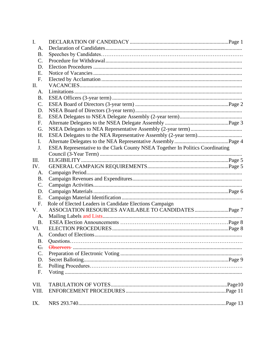| $\mathbf{I}$ .  |                                                                                |  |  |
|-----------------|--------------------------------------------------------------------------------|--|--|
| A.              |                                                                                |  |  |
| <b>B.</b>       |                                                                                |  |  |
| $\mathbf{C}$ .  |                                                                                |  |  |
| D.              |                                                                                |  |  |
| Ε.              |                                                                                |  |  |
| F.              |                                                                                |  |  |
| П.              |                                                                                |  |  |
| A.              |                                                                                |  |  |
| В.              |                                                                                |  |  |
| $\mathcal{C}$ . |                                                                                |  |  |
| D.              |                                                                                |  |  |
| Ε.              |                                                                                |  |  |
| F.              |                                                                                |  |  |
| G.              |                                                                                |  |  |
| H.              |                                                                                |  |  |
| I.              |                                                                                |  |  |
| J.              | ESEA Representative to the Clark County NSEA Together In Politics Coordinating |  |  |
|                 |                                                                                |  |  |
| Ш.              |                                                                                |  |  |
| IV.             |                                                                                |  |  |
| A.              |                                                                                |  |  |
| <b>B.</b>       |                                                                                |  |  |
| $\mathbf{C}$ .  |                                                                                |  |  |
| D.              |                                                                                |  |  |
| Ε.              |                                                                                |  |  |
| F.              | Role of Elected Leaders in Candidate Elections Campaign                        |  |  |
| V.              |                                                                                |  |  |
| A.              |                                                                                |  |  |
| <b>B.</b>       |                                                                                |  |  |
| VI.             |                                                                                |  |  |
| A.              |                                                                                |  |  |
| <b>B.</b>       |                                                                                |  |  |
| $C_{t}$         |                                                                                |  |  |
| C.              |                                                                                |  |  |
| D.              |                                                                                |  |  |
| E.              |                                                                                |  |  |
| F.              |                                                                                |  |  |
| VII.            |                                                                                |  |  |
| VIII.           |                                                                                |  |  |
| IX.             |                                                                                |  |  |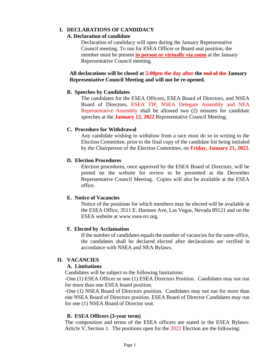# **I. DECLARATIONS OF CANDIDACY**

#### **A. Declaration of candidate**

Declaration of candidacy will open during the January Representative Council meeting. To run for ESEA Officer or Board seat position, the member must be present **in person or virtually via zoom** at the January Representative Council meeting.

#### **All declarations will be closed at 5:00pm the day after the end of the January Representative Council Meeting and will not be re-opened.**

#### **B. Speeches by Candidates**

The candidates for the ESEA Officers, ESEA Board of Directors, and NSEA Board of Directors, ESEA TIP, NSEA Delegate Assembly and NEA Representative Assembly shall be allowed two (2) minutes for candidate speeches at the **January 12, 2022** Representative Council Meeting.

#### <span id="page-2-0"></span>**C. Procedure for Withdrawal**

Any candidate wishing to withdraw from a race must do so in writing to the Election Committee, prior to the final copy of the candidate list being initialed by the Chairperson of the Election Committee, on **Friday, January 21, 2022**.

#### <span id="page-2-1"></span>**D. Election Procedures**

Election procedures, once approved by the ESEA Board of Directors, will be posted on the website for review to be presented at the December Representative Council Meeting. Copies will also be available at the ESEA office.

#### <span id="page-2-2"></span>**E. Notice of Vacancies**

Notice of the positions for which members may be elected will be available at the ESEA Office, 3511 E. Harmon Ave, Las Vegas, Nevada 89121 and on the ESEA website at www.esea-nv.org.

#### <span id="page-2-3"></span>**F. Elected by Acclamation**

If the number of candidates equals the number of vacancies for the same office, the candidates shall be declared elected after declarations are verified in accordance with NSEA and NEA Bylaws.

#### <span id="page-2-5"></span><span id="page-2-4"></span>**II. VACANCIES**

#### **A. Limitations**

Candidates will be subject to the following limitations:

-One (1) ESEA Officer or one (1) ESEA Directors Position. Candidates may not run for more than one ESEA board position.

-One (1) NSEA Board of Directors position. Candidates may not run for more than one NSEA Board of Directors position. ESEA Board of Director Candidates may run for one (1) NSEA Board of Director seat.

#### **B. ESEA Officers (3-year term)**

<span id="page-2-6"></span>The composition and terms of the ESEA officers are stated in the ESEA Bylaws: Article V, Section 1. The positions open for the 2022 Election are the following: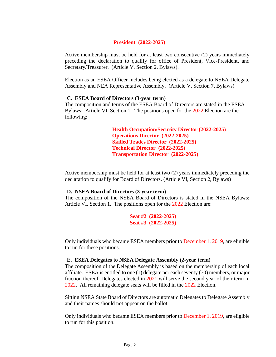#### **President (2022-2025)**

Active membership must be held for at least two consecutive (2) years immediately preceding the declaration to qualify for office of President, Vice-President, and Secretary/Treasurer. (Article V, Section 2, Bylaws).

Election as an ESEA Officer includes being elected as a delegate to NSEA Delegate Assembly and NEA Representative Assembly. (Article V, Section 7, Bylaws).

#### **C. ESEA Board of Directors (3-year term)**

<span id="page-3-0"></span>The composition and terms of the ESEA Board of Directors are stated in the ESEA Bylaws: Article VI, Section 1. The positions open for the 2022 Election are the following:

> **Health Occupation/Security Director (2022-2025) Operations Director (2022-2025) Skilled Trades Director (2022-2025) Technical Director (2022-2025) Transportation Director (2022-2025)**

Active membership must be held for at least two (2) years immediately preceding the declaration to qualify for Board of Directors. (Article VI, Section 2, Bylaws)

#### **D. NSEA Board of Directors (3-year term)**

<span id="page-3-1"></span>The composition of the NSEA Board of Directors is stated in the NSEA Bylaws: Article VI, Section 1. The positions open for the 2022 Election are:

> **Seat #2 (2022-2025) Seat #3 (2022-2025)**

Only individuals who became ESEA members prior to December 1, 2019, are eligible to run for these positions.

#### **E. ESEA Delegates to NSEA Delegate Assembly (2-year term)**

<span id="page-3-2"></span>The composition of the Delegate Assembly is based on the membership of each local affiliate. ESEA is entitled to one (1) delegate per each seventy (70) members, or major fraction thereof. Delegates elected in 2021 will serve the second year of their term in 2022. All remaining delegate seats will be filled in the 2022 Election.

Sitting NSEA State Board of Directors are automatic Delegates to Delegate Assembly and their names should not appear on the ballot.

Only individuals who became ESEA members prior to December 1, 2019, are eligible to run for this position.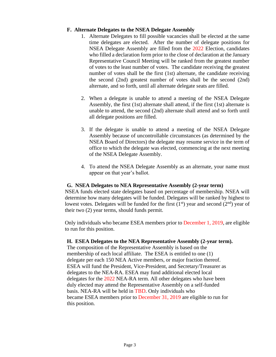#### <span id="page-4-0"></span>**F. Alternate Delegates to the NSEA Delegate Assembly**

- 1. Alternate Delegates to fill possible vacancies shall be elected at the same time delegates are elected. After the number of delegate positions for NSEA Delegate Assembly are filled from the 2022 Election, candidates who filled a declaration form prior to the close of declaration at the January Representative Council Meeting will be ranked from the greatest number of votes to the least number of votes. The candidate receiving the greatest number of votes shall be the first (1st) alternate, the candidate receiving the second (2nd) greatest number of votes shall be the second (2nd) alternate, and so forth, until all alternate delegate seats are filled.
- 2. When a delegate is unable to attend a meeting of the NSEA Delegate Assembly, the first (1st) alternate shall attend, if the first (1st) alternate is unable to attend, the second (2nd) alternate shall attend and so forth until all delegate positions are filled.
- 3. If the delegate is unable to attend a meeting of the NSEA Delegate Assembly because of uncontrollable circumstances (as determined by the NSEA Board of Directors) the delegate may resume service in the term of office to which the delegate was elected, commencing at the next meeting of the NSEA Delegate Assembly.
- 4. To attend the NSEA Delegate Assembly as an alternate, your name must appear on that year's ballot.

#### **G. NSEA Delegates to NEA Representative Assembly (2-year term)**

<span id="page-4-1"></span>NSEA funds elected state delegates based on percentage of membership. NSEA will determine how many delegates will be funded. Delegates will be ranked by highest to lowest votes. Delegates will be funded for the first  $(1<sup>st</sup>)$  year and second  $(2<sup>nd</sup>)$  year of their two (2) year terms, should funds permit.

Only individuals who became ESEA members prior to December 1, 2019, are eligible to run for this position.

#### <span id="page-4-2"></span>**H. ESEA Delegates to the NEA Representative Assembly (2-year term).**

The composition of the Representative Assembly is based on the membership of each local affiliate. The ESEA is entitled to one (1) delegate per each 150 NEA Active members, or major fraction thereof. ESEA will fund the President, Vice-President, and Secretary/Treasurer as delegates to the NEA-RA. ESEA may fund additional elected local delegates for the 2022 NEA-RA term. All other delegates who have been duly elected may attend the Representative Assembly on a self-funded basis. NEA-RA will be held in TBD. Only individuals who became ESEA members prior to December 31, 2019 are eligible to run for this position.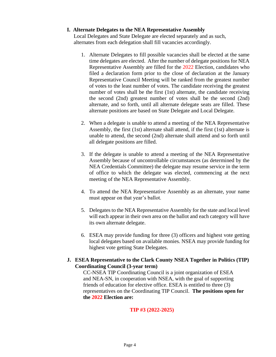#### <span id="page-5-0"></span>**I. Alternate Delegates to the NEA Representative Assembly**

 Local Delegates and State Delegate are elected separately and as such, alternates from each delegation shall fill vacancies accordingly.

- 1. Alternate Delegates to fill possible vacancies shall be elected at the same time delegates are elected. After the number of delegate positions for NEA Representative Assembly are filled for the 2022 Election, candidates who filed a declaration form prior to the close of declaration at the January Representative Council Meeting will be ranked from the greatest number of votes to the least number of votes. The candidate receiving the greatest number of votes shall be the first (1st) alternate, the candidate receiving the second (2nd) greatest number of votes shall be the second (2nd) alternate, and so forth, until all alternate delegate seats are filled. These alternate positions are based on State Delegate and Local Delegate.
- 2. When a delegate is unable to attend a meeting of the NEA Representative Assembly, the first (1st) alternate shall attend, if the first (1st) alternate is unable to attend, the second (2nd) alternate shall attend and so forth until all delegate positions are filled.
- 3. If the delegate is unable to attend a meeting of the NEA Representative Assembly because of uncontrollable circumstances (as determined by the NEA Credentials Committee) the delegate may resume service in the term of office to which the delegate was elected, commencing at the next meeting of the NEA Representative Assembly.
- 4. To attend the NEA Representative Assembly as an alternate, your name must appear on that year's ballot.
- 5. Delegates to the NEA Representative Assembly for the state and local level will each appear in their own area on the ballot and each category will have its own alternate delegate.
- 6. ESEA may provide funding for three (3) officers and highest vote getting local delegates based on available monies. NSEA may provide funding for highest vote getting State Delegates.

#### **J. ESEA Representative to the Clark County NSEA Together in Politics (TIP) Coordinating Council (3-year term)**

CC-NSEA TIP Coordinating Council is a joint organization of ESEA and NEA-SN, in cooperation with NSEA, with the goal of supporting friends of education for elective office. ESEA is entitled to three (3) representatives on the Coordinating TIP Council. **The positions open for the 2022 Election are:**

**TIP #3 (2022-2025)**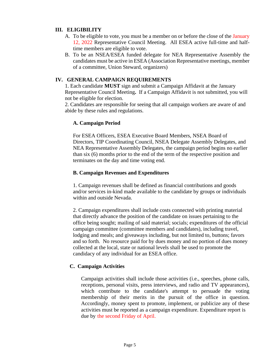## <span id="page-6-0"></span>**III. ELIGIBILITY**

- A. To be eligible to vote, you must be a member on or before the close of the January 12, 2022 Representative Council Meeting. All ESEA active full-time and halftime members are eligible to vote.
- B. To be an NSEA/ESEA funded delegate for NEA Representative Assembly the candidates must be active in ESEA (Association Representative meetings, member of a committee, Union Steward, organizers)

#### **IV. GENERAL CAMPAIGN REQUIREMENTS**

1. Each candidate **MUST** sign and submit a Campaign Affidavit at the January Representative Council Meeting**.** If a Campaign Affidavit is not submitted, you will not be eligible for election.

2. Candidates are responsible for seeing that all campaign workers are aware of and abide by these rules and regulations.

#### <span id="page-6-1"></span>**A. Campaign Period**

For ESEA Officers, ESEA Executive Board Members, NSEA Board of Directors, TIP Coordinating Council, NSEA Delegate Assembly Delegates, and NEA Representative Assembly Delegates, the campaign period begins no earlier than six (6) months prior to the end of the term of the respective position and terminates on the day and time voting end.

#### <span id="page-6-2"></span>**B. Campaign Revenues and Expenditures**

1. Campaign revenues shall be defined as financial contributions and goods and/or services in-kind made available to the candidate by groups or individuals within and outside Nevada.

2. Campaign expenditures shall include costs connected with printing material that directly advance the position of the candidate on issues pertaining to the office being sought; mailing of said material; socials; expenditures of the official campaign committee (committee members and candidates), including travel, lodging and meals; and giveaways including, but not limited to, buttons; favors and so forth. No resource paid for by dues money and no portion of dues money collected at the local, state or national levels shall be used to promote the candidacy of any individual for an ESEA office.

#### **C. Campaign Activities**

<span id="page-6-3"></span>Campaign activities shall include those activities (i.e., speeches, phone calls, receptions, personal visits, press interviews, and radio and TV appearances), which contribute to the candidate's attempt to persuade the voting membership of their merits in the pursuit of the office in question. Accordingly, money spent to promote, implement, or publicize any of these activities must be reported as a campaign expenditure. Expenditure report is due by the second Friday of April.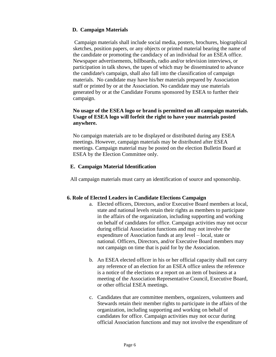## <span id="page-7-0"></span> **D. Campaign Materials**

Campaign materials shall include social media, posters, brochures, biographical sketches, position papers, or any objects or printed material bearing the name of the candidate or promoting the candidacy of an individual for an ESEA office. Newspaper advertisements, billboards, radio and/or television interviews, or participation in talk shows, the tapes of which may be disseminated to advance the candidate's campaign, shall also fall into the classification of campaign materials. No candidate may have his/her materials prepared by Association staff or printed by or at the Association. No candidate may use materials generated by or at the Candidate Forums sponsored by ESEA to further their campaign.

#### **No usage of the ESEA logo or brand is permitted on all campaign materials. Usage of ESEA logo will forfeit the right to have your materials posted anywhere.**

No campaign materials are to be displayed or distributed during any ESEA meetings. However, campaign materials may be distributed after ESEA meetings. Campaign material may be posted on the election Bulletin Board at ESEA by the Election Committee only.

#### **E. Campaign Material Identification**

All campaign materials must carry an identification of source and sponsorship.

#### **6. Role of Elected Leaders in Candidate Elections Campaign**

- <span id="page-7-1"></span>a. Elected officers, Directors, and/or Executive Board members at local, state and national levels retain their rights as members to participate in the affairs of the organization, including supporting and working on behalf of candidates for office. Campaign activities may not occur during official Association functions and may not involve the expenditure of Association funds at any level – local, state or national. Officers, Directors, and/or Executive Board members may not campaign on time that is paid for by the Association.
- b. An ESEA elected officer in his or her official capacity shall not carry any reference of an election for an ESEA office unless the reference is a notice of the elections or a report on an item of business at a meeting of the Association Representative Council, Executive Board, or other official ESEA meetings.
- c. Candidates that are committee members, organizers, volunteers and Stewards retain their member rights to participate in the affairs of the organization, including supporting and working on behalf of candidates for office. Campaign activities may not occur during official Association functions and may not involve the expenditure of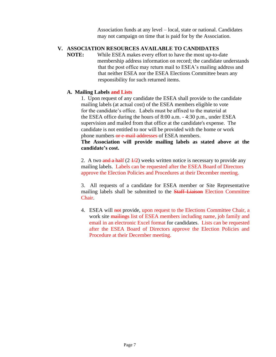Association funds at any level – local, state or national. Candidates may not campaign on time that is paid for by the Association.

#### <span id="page-8-0"></span>**V. ASSOCIATION RESOURCES AVAILABLE TO CANDIDATES**

**NOTE:** While ESEA makes every effort to have the most up-to-date membership address information on record; the candidate understands that the post office may return mail to ESEA's mailing address and that neither ESEA nor the ESEA Elections Committee bears any responsibility for such returned items.

#### <span id="page-8-1"></span>**A. Mailing Labels and Lists**

1. Upon request of any candidate the ESEA shall provide to the candidate mailing labels (at actual cost) of the ESEA members eligible to vote for the candidate's office. Labels must be affixed to the material at the ESEA office during the hours of 8:00 a.m. - 4:30 p.m., under ESEA supervision and mailed from that office at the candidate's expense. The candidate is not entitled to nor will be provided with the home or work phone numbers or e-mail addresses of ESEA members.

**The Association will provide mailing labels as stated above at the candidate's cost.** 

2. A two and a half  $(2 \frac{1}{2})$  weeks written notice is necessary to provide any mailing labels. Labels can be requested after the ESEA Board of Directors approve the Election Policies and Procedures at their December meeting.

3. All requests of a candidate for ESEA member or Site Representative mailing labels shall be submitted to the **Staff Liaison** Election Committee Chair.

4. ESEA will not provide, upon request to the Elections Committee Chair, a work site mailings list of ESEA members including name, job family and email in an electronic Excel format for candidates. Lists can be requested after the ESEA Board of Directors approve the Election Policies and Procedure at their December meeting.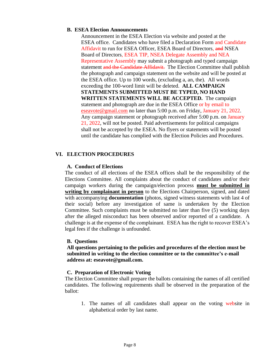#### **B. ESEA Election Announcements**

Announcement in the ESEA Election via website and posted at the ESEA office. Candidates who have filed a Declaration Form and Candidate Affidavit to run for ESEA Officer, ESEA Board of Directors, and NSEA Board of Directors, ESEA TIP, NSEA Delegate Assembly and NEA Representative Assembly may submit a photograph and typed campaign statement and the Candidate Affidavit. The Election Committee shall publish the photograph and campaign statement on the website and will be posted at the ESEA office. Up to 100 words, (excluding a, an, the). All words exceeding the 100-word limit will be deleted. **ALL CAMPAIGN STATEMENTS SUBMITTED MUST BE TYPED, NO HAND WRITTEN STATEMENTS WILL BE ACCEPTED.** The campaign statement and photograph are due in the ESEA Office or by email to [eseavote@gmail.com](mailto:eseavote@gmail.com) no later than 5:00 p.m. on Friday, January 21, 2022. Any campaign statement or photograph received after 5:00 p.m. on January 21, 2022, will not be posted. Paid advertisements for political campaigns shall not be accepted by the ESEA. No flyers or statements will be posted until the candidate has complied with the Election Policies and Procedures.

#### <span id="page-9-1"></span><span id="page-9-0"></span>**VI. ELECTION PROCEDURES**

#### **A. Conduct of Elections**

The conduct of all elections of the ESEA offices shall be the responsibility of the Elections Committee. All complaints about the conduct of candidates and/or their campaign workers during the campaign/election process **must be submitted in writing by complainant in person** to the Elections Chairperson, signed, and dated with accompanying **documentation** (photos, signed witness statements with last 4 of their social) before any investigation of same is undertaken by the Election Committee. Such complaints must be submitted no later than five (5) working days after the alleged misconduct has been observed and/or reported of a candidate. A challenge is at the expense of the complainant. ESEA has the right to recover ESEA's legal fees if the challenge is unfounded.

#### <span id="page-9-2"></span>**B. Questions**

**All questions pertaining to the policies and procedures of the election must be submitted in writing to the election committee or to the committee's e-mail address at: eseavote@gmail.com.**

#### **C. Preparation of Electronic Voting**

<span id="page-9-3"></span>The Election Committee shall prepare the ballots containing the names of all certified candidates. The following requirements shall be observed in the preparation of the ballot:

1. The names of all candidates shall appear on the voting website in alphabetical order by last name.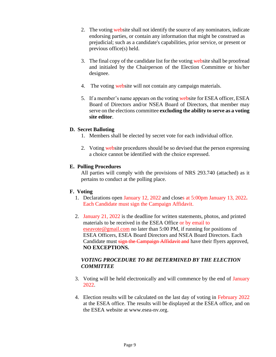- 2. The voting website shall not identify the source of any nominators, indicate endorsing parties, or contain any information that might be construed as prejudicial; such as a candidate's capabilities, prior service, or present or previous office(s) held.
- 3. The final copy of the candidate list for the voting website shall be proofread and initialed by the Chairperson of the Election Committee or his/her designee.
- 4. The voting website will not contain any campaign materials.
- 5. If a member's name appears on the voting website for ESEA officer, ESEA Board of Directors and/or NSEA Board of Directors, that member may serve on the elections committee **excluding the ability to serve as a voting site editor**.

#### <span id="page-10-0"></span> **D. Secret Balloting**

- 1. Members shall be elected by secret vote for each individual office.
- 2. Voting website procedures should be so devised that the person expressing a choice cannot be identified with the choice expressed.

#### **E. Polling Procedures**

All parties will comply with the provisions of NRS 293.740 (attached) as it pertains to conduct at the polling place.

#### **F. Voting**

- 1. Declarations open January 12, 2022 and closes at 5:00pm January 13, 2022**.**  Each Candidate must sign the Campaign Affidavit.
- 2. January 21, 2022 is the deadline for written statements, photos, and printed materials to be received in the ESEA Office or by email to [eseavote@gmail.com](mailto:eseavote@gmail.com) no later than 5:00 PM, if running for positions of ESEA Officers, ESEA Board Directors and NSEA Board Directors. Each Candidate must sign the Campaign Affidavit and have their flyers approved, **NO EXCEPTIONS.**

#### *VOTING PROCEDURE TO BE DETERMINED BY THE ELECTION COMMITTEE*

- 3. Voting will be held electronically and will commence by the end of January 2022.
- 4. Election results will be calculated on the last day of voting in February 2022 at the ESEA office. The results will be displayed at the ESEA office, and on the ESEA website at www.esea-nv.org.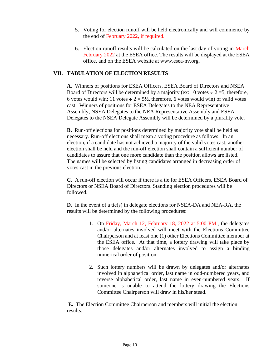- 5. Voting for election runoff will be held electronically and will commence by the end of February 2022, if required.
- 6. Election runoff results will be calculated on the last day of voting in March February 2022 at the ESEA office. The results will be displayed at the ESEA office, and on the ESEA website at www.esea-nv.org.

#### **VII. TABULATION OF ELECTION RESULTS**

**A.** Winners of positions for ESEA Officers, ESEA Board of Directors and NSEA Board of Directors will be determined by a majority (ex: 10 votes  $\div$  2 = 5, therefore, 6 votes would win; 11 votes  $\div 2 = 5\frac{1}{2}$ , therefore, 6 votes would win) of valid votes cast. Winners of positions for ESEA Delegates to the NEA Representative Assembly, NSEA Delegates to the NEA Representative Assembly and ESEA Delegates to the NSEA Delegate Assembly will be determined by a plurality vote.

**B.** Run-off elections for positions determined by majority vote shall be held as necessary. Run-off elections shall mean a voting procedure as follows: In an election, if a candidate has not achieved a majority of the valid votes cast, another election shall be held and the run-off election shall contain a sufficient number of candidates to assure that one more candidate than the position allows are listed. The names will be selected by listing candidates arranged in decreasing order of votes cast in the previous election.

**C.** A run-off election will occur if there is a tie for ESEA Officers, ESEA Board of Directors or NSEA Board of Directors. Standing election procedures will be followed.

**D.** In the event of a tie(s) in delegate elections for NSEA-DA and NEA-RA, the results will be determined by the following procedures:

- 1. On Friday, March 12, February 18, 2022 at 5:00 PM., the delegates and/or alternates involved will meet with the Elections Committee Chairperson and at least one (1) other Elections Committee member at the ESEA office. At that time, a lottery drawing will take place by those delegates and/or alternates involved to assign a binding numerical order of position.
- 2. Such lottery numbers will be drawn by delegates and/or alternates involved in alphabetical order, last name in odd-numbered years, and reverse alphabetical order, last name in even-numbered years. If someone is unable to attend the lottery drawing the Elections Committee Chairperson will draw in his/her stead.

**E.** The Election Committee Chairperson and members will initial the election results.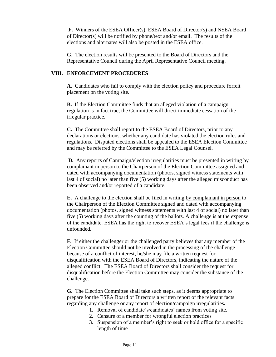**F.** Winners of the ESEA Officer(s), ESEA Board of Director(s) and NSEA Board of Director(s) will be notified by phone/text and/or email. The results of the elections and alternates will also be posted in the ESEA office.

**G.** The election results will be presented to the Board of Directors and the Representative Council during the April Representative Council meeting.

#### <span id="page-12-0"></span>**VIII. ENFORCEMENT PROCEDURES**

**A.** Candidates who fail to comply with the election policy and procedure forfeit placement on the voting site.

**B.** If the Election Committee finds that an alleged violation of a campaign regulation is in fact true, the Committee will direct immediate cessation of the irregular practice.

**C.** The Committee shall report to the ESEA Board of Directors, prior to any declarations or elections, whether any candidate has violated the election rules and regulations. Disputed elections shall be appealed to the ESEA Election Committee and may be referred by the Committee to the ESEA Legal Counsel.

**D.** Any reports of Campaign/election irregularities must be presented in writing by complainant in person to the Chairperson of the Election Committee assigned and dated with accompanying documentation (photos, signed witness statements with last 4 of social) no later than five (5) working days after the alleged misconduct has been observed and/or reported of a candidate.

**E.** A challenge to the election shall be filed in writing by complainant in person to the Chairperson of the Election Committee signed and dated with accompanying documentation (photos, signed witness statements with last 4 of social) no later than five (5) working days after the counting of the ballots. A challenge is at the expense of the candidate. ESEA has the right to recover ESEA's legal fees if the challenge is unfounded.

**F.** If either the challenger or the challenged party believes that any member of the Election Committee should not be involved in the processing of the challenge because of a conflict of interest, he/she may file a written request for disqualification with the ESEA Board of Directors, indicating the nature of the alleged conflict. The ESEA Board of Directors shall consider the request for disqualification before the Election Committee may consider the substance of the challenge.

**G.** The Election Committee shall take such steps, as it deems appropriate to prepare for the ESEA Board of Directors a written report of the relevant facts regarding any challenge or any report of election/campaign irregularities**.**

- 1. Removal of candidate's/candidates' names from voting site.
- 2. Censure of a member for wrongful election practices
- 3. Suspension of a member's right to seek or hold office for a specific length of time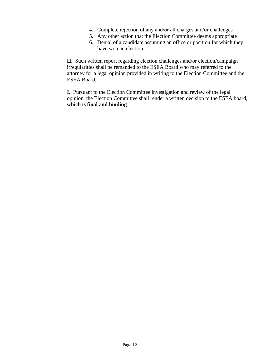- 4. Complete rejection of any and/or all charges and/or challenges
- 5. Any other action that the Election Committee deems appropriate
- 6. Denial of a candidate assuming an office or position for which they have won an election

**H.** Such written report regarding election challenges and/or election/campaign irregularities shall be remanded to the ESEA Board who may referred to the attorney for a legal opinion provided in writing to the Election Committee and the ESEA Board.

**I.** Pursuant to the Election Committee investigation and review of the legal opinion, the Election Committee shall render a written decision to the ESEA board, **which is final and binding**.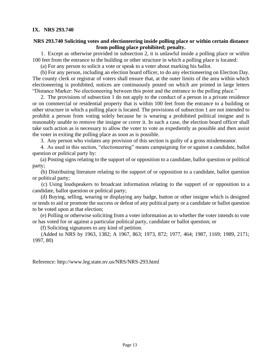#### <span id="page-14-0"></span>**NRS 293.740 Soliciting votes and electioneering inside polling place or within certain distance from polling place prohibited; penalty.**

1. Except as otherwise provided in subsection 2, it is unlawful inside a polling place or within 100 feet from the entrance to the building or other structure in which a polling place is located:

(a) For any person to solicit a vote or speak to a voter about marking his ballot.

 (b) For any person, including an election board officer, to do any electioneering on Election Day. The county clerk or registrar of voters shall ensure that, at the outer limits of the area within which electioneering is prohibited, notices are continuously posted on which are printed in large letters "Distance Marker: No electioneering between this point and the entrance to the polling place."

 2. The provisions of subsection 1 do not apply to the conduct of a person in a private residence or on commercial or residential property that is within 100 feet from the entrance to a building or other structure in which a polling place is located. The provisions of subsection 1 are not intended to prohibit a person from voting solely because he is wearing a prohibited political insigne and is reasonably unable to remove the insigne or cover it. In such a case, the election board officer shall take such action as is necessary to allow the voter to vote as expediently as possible and then assist the voter in exiting the polling place as soon as is possible.

3. Any person who violates any provision of this section is guilty of a gross misdemeanor.

 4. As used in this section, "electioneering" means campaigning for or against a candidate, ballot question or political party by:

 (a) Posting signs relating to the support of or opposition to a candidate, ballot question or political party;

 (b) Distributing literature relating to the support of or opposition to a candidate, ballot question or political party;

 (c) Using loudspeakers to broadcast information relating to the support of or opposition to a candidate, ballot question or political party;

 (d) Buying, selling, wearing or displaying any badge, button or other insigne which is designed or tends to aid or promote the success or defeat of any political party or a candidate or ballot question to be voted upon at that election;

 (e) Polling or otherwise soliciting from a voter information as to whether the voter intends to vote or has voted for or against a particular political party, candidate or ballot question; or

(f) Soliciting signatures to any kind of petition.

 (Added to NRS by 1963, 1382; A 1967, 863; 1973, 872; 1977, 464; 1987, 1169; 1989, 2171; 1997, 80)

Reference: http://www.leg.state.nv.us/NRS/NRS-293.html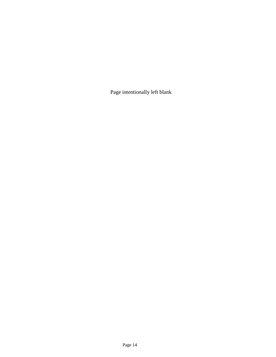Page intentionally left blank